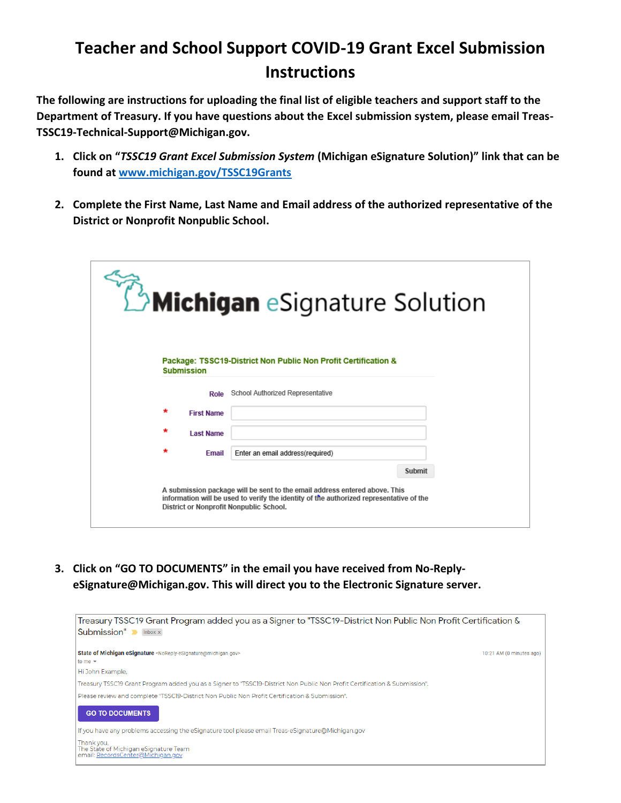## **Teacher and School Support COVID-19 Grant Excel Submission Instructions**

**The following are instructions for uploading the final list of eligible teachers and support staff to the Department of Treasury. If you have questions about the Excel submission system, please email Treas-TSSC19-Technical-Support@Michigan.gov.**

- **1. Click on "***TSSC19 Grant Excel Submission System* **(Michigan eSignature Solution)" link that can be found at [www.michigan.gov/TSSC19Grants](http://www.michigan.gov/TSSC19Grants)**
- **2. Complete the First Name, Last Name and Email address of the authorized representative of the District or Nonprofit Nonpublic School.**

|                                         | Michigan eSignature Solution                                                                                                                                          |
|-----------------------------------------|-----------------------------------------------------------------------------------------------------------------------------------------------------------------------|
| <b>Submission</b>                       | Package: TSSC19-District Non Public Non Profit Certification &                                                                                                        |
| Role                                    | School Authorized Representative                                                                                                                                      |
| $\star$<br><b>First Name</b>            |                                                                                                                                                                       |
| $\star$<br><b>Last Name</b>             |                                                                                                                                                                       |
| $\star$<br>Email                        | Enter an email address(required)                                                                                                                                      |
|                                         | Submit                                                                                                                                                                |
| District or Nonprofit Nonpublic School. | A submission package will be sent to the email address entered above. This<br>information will be used to verify the identity of the authorized representative of the |

**3. Click on "GO TO DOCUMENTS" in the email you have received from No-ReplyeSignature@Michigan.gov. This will direct you to the Electronic Signature server.**

| Treasury TSSC19 Grant Program added you as a Signer to "TSSC19-District Non Public Non Profit Certification &<br>Submission" Mark Submission |                          |  |  |  |
|----------------------------------------------------------------------------------------------------------------------------------------------|--------------------------|--|--|--|
| State of Michigan eSignature <noreply-esignature@michigan.gov></noreply-esignature@michigan.gov>                                             | 10:21 AM (0 minutes ago) |  |  |  |
| to me $\sim$                                                                                                                                 |                          |  |  |  |
| Hi John Example,                                                                                                                             |                          |  |  |  |
| Treasury TSSC19 Grant Program added you as a Signer to "TSSC19-District Non Public Non Profit Certification & Submission".                   |                          |  |  |  |
| Please review and complete "TSSC19-District Non Public Non Profit Certification & Submission".                                               |                          |  |  |  |
| <b>GO TO DOCUMENTS</b>                                                                                                                       |                          |  |  |  |
| If you have any problems accessing the eSignature tool please email Treas-eSignature@Michigan.gov                                            |                          |  |  |  |
| Thank you.<br>The State of Michigan eSignature Team<br>email: RecordsCenter@Michigan.gov                                                     |                          |  |  |  |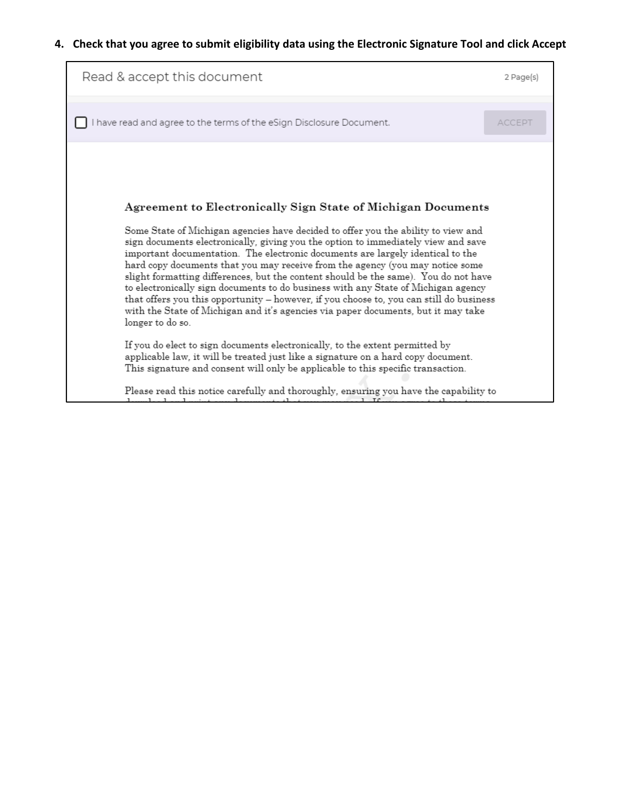## **4. Check that you agree to submit eligibility data using the Electronic Signature Tool and click Accept**

| Read & accept this document                                                                                                                                                                                                                                                                                                                                                                                                                                                                                                                                                                                                          | 2 Page(s)     |
|--------------------------------------------------------------------------------------------------------------------------------------------------------------------------------------------------------------------------------------------------------------------------------------------------------------------------------------------------------------------------------------------------------------------------------------------------------------------------------------------------------------------------------------------------------------------------------------------------------------------------------------|---------------|
| I have read and agree to the terms of the eSign Disclosure Document.                                                                                                                                                                                                                                                                                                                                                                                                                                                                                                                                                                 | <b>ACCEPT</b> |
| Agreement to Electronically Sign State of Michigan Documents<br>Some State of Michigan agencies have decided to offer you the ability to view and                                                                                                                                                                                                                                                                                                                                                                                                                                                                                    |               |
| sign documents electronically, giving you the option to immediately view and save<br>important documentation. The electronic documents are largely identical to the<br>hard copy documents that you may receive from the agency (you may notice some<br>slight formatting differences, but the content should be the same). You do not have<br>to electronically sign documents to do business with any State of Michigan agency<br>that offers you this opportunity - however, if you choose to, you can still do business<br>with the State of Michigan and it's agencies via paper documents, but it may take<br>longer to do so. |               |
| If you do elect to sign documents electronically, to the extent permitted by<br>applicable law, it will be treated just like a signature on a hard copy document.<br>This signature and consent will only be applicable to this specific transaction.<br>Please read this notice carefully and thoroughly, ensuring you have the capability to                                                                                                                                                                                                                                                                                       |               |